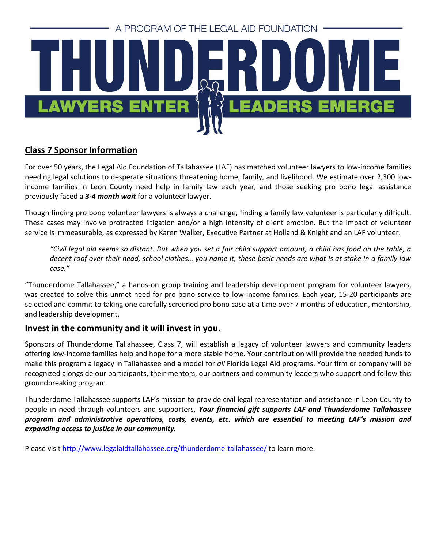

# **Class 7 Sponsor Information**

For over 50 years, the Legal Aid Foundation of Tallahassee (LAF) has matched volunteer lawyers to low-income families needing legal solutions to desperate situations threatening home, family, and livelihood. We estimate over 2,300 lowincome families in Leon County need help in family law each year, and those seeking pro bono legal assistance previously faced a *3-4 month wait* for a volunteer lawyer.

Though finding pro bono volunteer lawyers is always a challenge, finding a family law volunteer is particularly difficult. These cases may involve protracted litigation and/or a high intensity of client emotion. But the impact of volunteer service is immeasurable, as expressed by Karen Walker, Executive Partner at Holland & Knight and an LAF volunteer:

*"Civil legal aid seems so distant. But when you set a fair child support amount, a child has food on the table, a decent roof over their head, school clothes… you name it, these basic needs are what is at stake in a family law case."*

"Thunderdome Tallahassee," a hands-on group training and leadership development program for volunteer lawyers, was created to solve this unmet need for pro bono service to low-income families. Each year, 15-20 participants are selected and commit to taking one carefully screened pro bono case at a time over 7 months of education, mentorship, and leadership development.

## **Invest in the community and it will invest in you.**

Sponsors of Thunderdome Tallahassee, Class 7, will establish a legacy of volunteer lawyers and community leaders offering low-income families help and hope for a more stable home. Your contribution will provide the needed funds to make this program a legacy in Tallahassee and a model for *all* Florida Legal Aid programs. Your firm or company will be recognized alongside our participants, their mentors, our partners and community leaders who support and follow this groundbreaking program.

Thunderdome Tallahassee supports LAF's mission to provide civil legal representation and assistance in Leon County to people in need through volunteers and supporters. *Your financial gift supports LAF and Thunderdome Tallahassee program and administrative operations, costs, events, etc. which are essential to meeting LAF's mission and expanding access to justice in our community.*

Please visit<http://www.legalaidtallahassee.org/thunderdome-tallahassee/> to learn more.